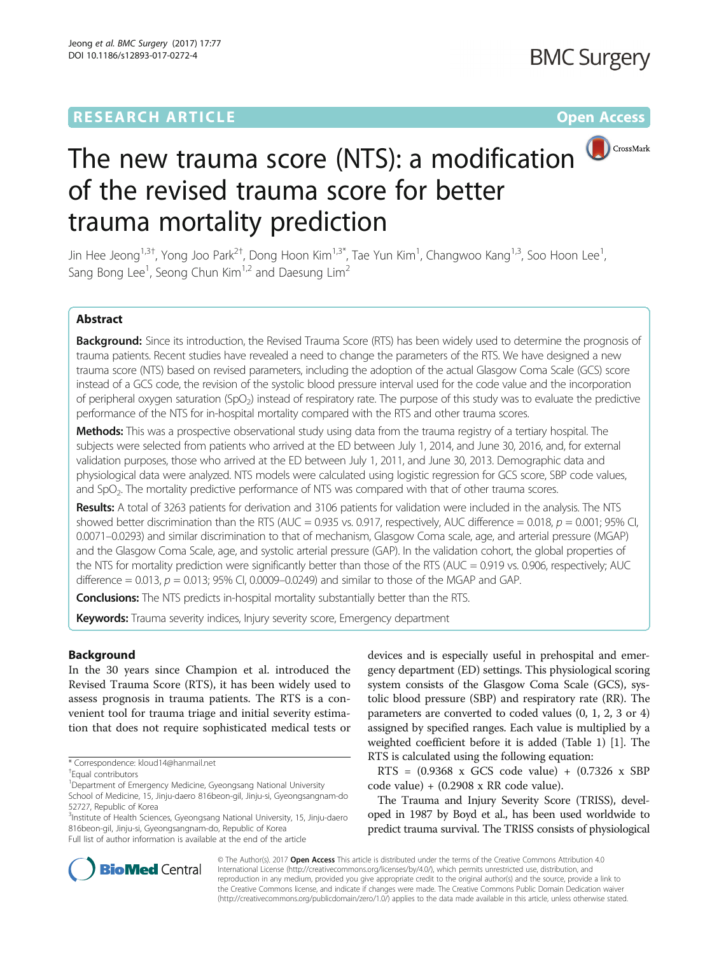## **RESEARCH ARTICLE Example 2014 12:30 The Contract of Contract ACCESS**



# The new trauma score (NTS): a modification of the revised trauma score for better trauma mortality prediction

Jin Hee Jeong<sup>1,3†</sup>, Yong Joo Park<sup>2†</sup>, Dong Hoon Kim<sup>1,3\*</sup>, Tae Yun Kim<sup>1</sup>, Changwoo Kang<sup>1,3</sup>, Soo Hoon Lee<sup>1</sup> , Sang Bong Lee<sup>1</sup>, Seong Chun Kim<sup>1,2</sup> and Daesung Lim<sup>2</sup>

## Abstract

Background: Since its introduction, the Revised Trauma Score (RTS) has been widely used to determine the prognosis of trauma patients. Recent studies have revealed a need to change the parameters of the RTS. We have designed a new trauma score (NTS) based on revised parameters, including the adoption of the actual Glasgow Coma Scale (GCS) score instead of a GCS code, the revision of the systolic blood pressure interval used for the code value and the incorporation of peripheral oxygen saturation (SpO<sub>2</sub>) instead of respiratory rate. The purpose of this study was to evaluate the predictive performance of the NTS for in-hospital mortality compared with the RTS and other trauma scores.

Methods: This was a prospective observational study using data from the trauma registry of a tertiary hospital. The subjects were selected from patients who arrived at the ED between July 1, 2014, and June 30, 2016, and, for external validation purposes, those who arrived at the ED between July 1, 2011, and June 30, 2013. Demographic data and physiological data were analyzed. NTS models were calculated using logistic regression for GCS score, SBP code values, and SpO<sub>2</sub>. The mortality predictive performance of NTS was compared with that of other trauma scores.

Results: A total of 3263 patients for derivation and 3106 patients for validation were included in the analysis. The NTS showed better discrimination than the RTS (AUC = 0.935 vs. 0.917, respectively, AUC difference = 0.018,  $p = 0.001$ ; 95% CI, 0.0071–0.0293) and similar discrimination to that of mechanism, Glasgow Coma scale, age, and arterial pressure (MGAP) and the Glasgow Coma Scale, age, and systolic arterial pressure (GAP). In the validation cohort, the global properties of the NTS for mortality prediction were significantly better than those of the RTS (AUC = 0.919 vs. 0.906, respectively; AUC difference = 0.013,  $p = 0.013$ ; 95% CI, 0.0009-0.0249) and similar to those of the MGAP and GAP.

**Conclusions:** The NTS predicts in-hospital mortality substantially better than the RTS.

Keywords: Trauma severity indices, Injury severity score, Emergency department

## Background

In the 30 years since Champion et al. introduced the Revised Trauma Score (RTS), it has been widely used to assess prognosis in trauma patients. The RTS is a convenient tool for trauma triage and initial severity estimation that does not require sophisticated medical tests or

<sup>3</sup>Institute of Health Sciences, Gyeongsang National University, 15, Jinju-daero 816beon-gil, Jinju-si, Gyeongsangnam-do, Republic of Korea Full list of author information is available at the end of the article

devices and is especially useful in prehospital and emergency department (ED) settings. This physiological scoring system consists of the Glasgow Coma Scale (GCS), systolic blood pressure (SBP) and respiratory rate (RR). The parameters are converted to coded values (0, 1, 2, 3 or 4) assigned by specified ranges. Each value is multiplied by a weighted coefficient before it is added (Table [1\)](#page-1-0) [[1\]](#page-7-0). The RTS is calculated using the following equation:

 $RTS = (0.9368 \times GCS)$  code value) +  $(0.7326 \times SBP)$ code value) + (0.2908 x RR code value).

The Trauma and Injury Severity Score (TRISS), developed in 1987 by Boyd et al., has been used worldwide to predict trauma survival. The TRISS consists of physiological



© The Author(s). 2017 **Open Access** This article is distributed under the terms of the Creative Commons Attribution 4.0 International License [\(http://creativecommons.org/licenses/by/4.0/](http://creativecommons.org/licenses/by/4.0/)), which permits unrestricted use, distribution, and reproduction in any medium, provided you give appropriate credit to the original author(s) and the source, provide a link to the Creative Commons license, and indicate if changes were made. The Creative Commons Public Domain Dedication waiver [\(http://creativecommons.org/publicdomain/zero/1.0/](http://creativecommons.org/publicdomain/zero/1.0/)) applies to the data made available in this article, unless otherwise stated.

<sup>\*</sup> Correspondence: [kloud14@hanmail.net](mailto:kloud14@hanmail.net) †

Equal contributors

<sup>&</sup>lt;sup>1</sup> Department of Emergency Medicine, Gyeongsang National University

School of Medicine, 15, Jinju-daero 816beon-gil, Jinju-si, Gyeongsangnam-do 52727, Republic of Korea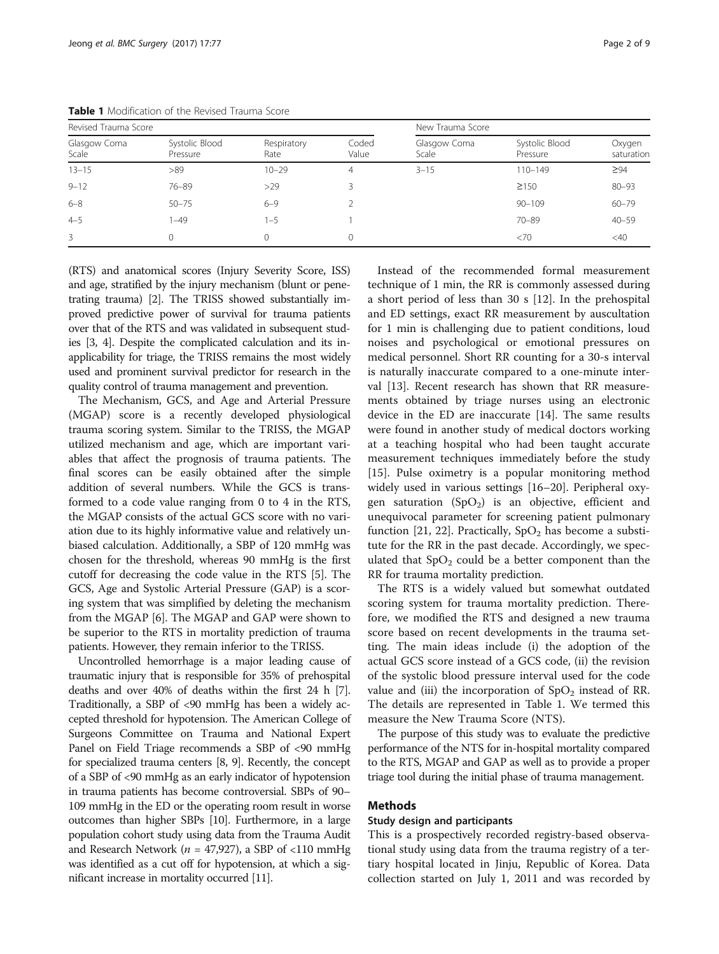| Revised Trauma Score  |                            |                     | New Trauma Score |                       |                            |                      |
|-----------------------|----------------------------|---------------------|------------------|-----------------------|----------------------------|----------------------|
| Glasgow Coma<br>Scale | Systolic Blood<br>Pressure | Respiratory<br>Rate | Coded<br>Value   | Glasgow Coma<br>Scale | Systolic Blood<br>Pressure | Oxygen<br>saturation |
| $13 - 15$             | >89                        | $10 - 29$           | 4                | $3 - 15$              | $110 - 149$                | $\geq 94$            |
| $9 - 12$              | $76 - 89$                  | >29                 | 3                |                       | $\geq$ 150                 | $80 - 93$            |
| $6 - 8$               | $50 - 75$                  | $6 - 9$             |                  |                       | $90 - 109$                 | $60 - 79$            |
| $4 - 5$               | $1 - 49$                   | $1 - 5$             |                  |                       | $70 - 89$                  | $40 - 59$            |
| 3                     |                            |                     | $\Omega$         |                       | <70                        | $<$ 40               |

<span id="page-1-0"></span>Table 1 Modification of the Revised Trauma Score

(RTS) and anatomical scores (Injury Severity Score, ISS) and age, stratified by the injury mechanism (blunt or penetrating trauma) [\[2\]](#page-7-0). The TRISS showed substantially improved predictive power of survival for trauma patients over that of the RTS and was validated in subsequent studies [\[3, 4\]](#page-7-0). Despite the complicated calculation and its inapplicability for triage, the TRISS remains the most widely used and prominent survival predictor for research in the quality control of trauma management and prevention.

The Mechanism, GCS, and Age and Arterial Pressure (MGAP) score is a recently developed physiological trauma scoring system. Similar to the TRISS, the MGAP utilized mechanism and age, which are important variables that affect the prognosis of trauma patients. The final scores can be easily obtained after the simple addition of several numbers. While the GCS is transformed to a code value ranging from 0 to 4 in the RTS, the MGAP consists of the actual GCS score with no variation due to its highly informative value and relatively unbiased calculation. Additionally, a SBP of 120 mmHg was chosen for the threshold, whereas 90 mmHg is the first cutoff for decreasing the code value in the RTS [[5\]](#page-7-0). The GCS, Age and Systolic Arterial Pressure (GAP) is a scoring system that was simplified by deleting the mechanism from the MGAP [[6\]](#page-7-0). The MGAP and GAP were shown to be superior to the RTS in mortality prediction of trauma patients. However, they remain inferior to the TRISS.

Uncontrolled hemorrhage is a major leading cause of traumatic injury that is responsible for 35% of prehospital deaths and over 40% of deaths within the first 24 h [[7](#page-7-0)]. Traditionally, a SBP of <90 mmHg has been a widely accepted threshold for hypotension. The American College of Surgeons Committee on Trauma and National Expert Panel on Field Triage recommends a SBP of <90 mmHg for specialized trauma centers [\[8, 9\]](#page-7-0). Recently, the concept of a SBP of <90 mmHg as an early indicator of hypotension in trauma patients has become controversial. SBPs of 90– 109 mmHg in the ED or the operating room result in worse outcomes than higher SBPs [\[10\]](#page-7-0). Furthermore, in a large population cohort study using data from the Trauma Audit and Research Network ( $n = 47,927$ ), a SBP of <110 mmHg was identified as a cut off for hypotension, at which a significant increase in mortality occurred [[11](#page-7-0)].

Instead of the recommended formal measurement technique of 1 min, the RR is commonly assessed during a short period of less than 30 s [[12\]](#page-7-0). In the prehospital and ED settings, exact RR measurement by auscultation for 1 min is challenging due to patient conditions, loud noises and psychological or emotional pressures on medical personnel. Short RR counting for a 30-s interval is naturally inaccurate compared to a one-minute interval [[13\]](#page-7-0). Recent research has shown that RR measurements obtained by triage nurses using an electronic device in the ED are inaccurate [\[14\]](#page-7-0). The same results were found in another study of medical doctors working at a teaching hospital who had been taught accurate measurement techniques immediately before the study [[15\]](#page-7-0). Pulse oximetry is a popular monitoring method widely used in various settings [\[16](#page-7-0)–[20\]](#page-8-0). Peripheral oxygen saturation  $(SpO<sub>2</sub>)$  is an objective, efficient and unequivocal parameter for screening patient pulmonary function [\[21](#page-8-0), [22\]](#page-8-0). Practically,  $SpO<sub>2</sub>$  has become a substitute for the RR in the past decade. Accordingly, we speculated that  $SpO<sub>2</sub>$  could be a better component than the RR for trauma mortality prediction.

The RTS is a widely valued but somewhat outdated scoring system for trauma mortality prediction. Therefore, we modified the RTS and designed a new trauma score based on recent developments in the trauma setting. The main ideas include (i) the adoption of the actual GCS score instead of a GCS code, (ii) the revision of the systolic blood pressure interval used for the code value and (iii) the incorporation of  $SpO<sub>2</sub>$  instead of RR. The details are represented in Table 1. We termed this measure the New Trauma Score (NTS).

The purpose of this study was to evaluate the predictive performance of the NTS for in-hospital mortality compared to the RTS, MGAP and GAP as well as to provide a proper triage tool during the initial phase of trauma management.

## Methods

## Study design and participants

This is a prospectively recorded registry-based observational study using data from the trauma registry of a tertiary hospital located in Jinju, Republic of Korea. Data collection started on July 1, 2011 and was recorded by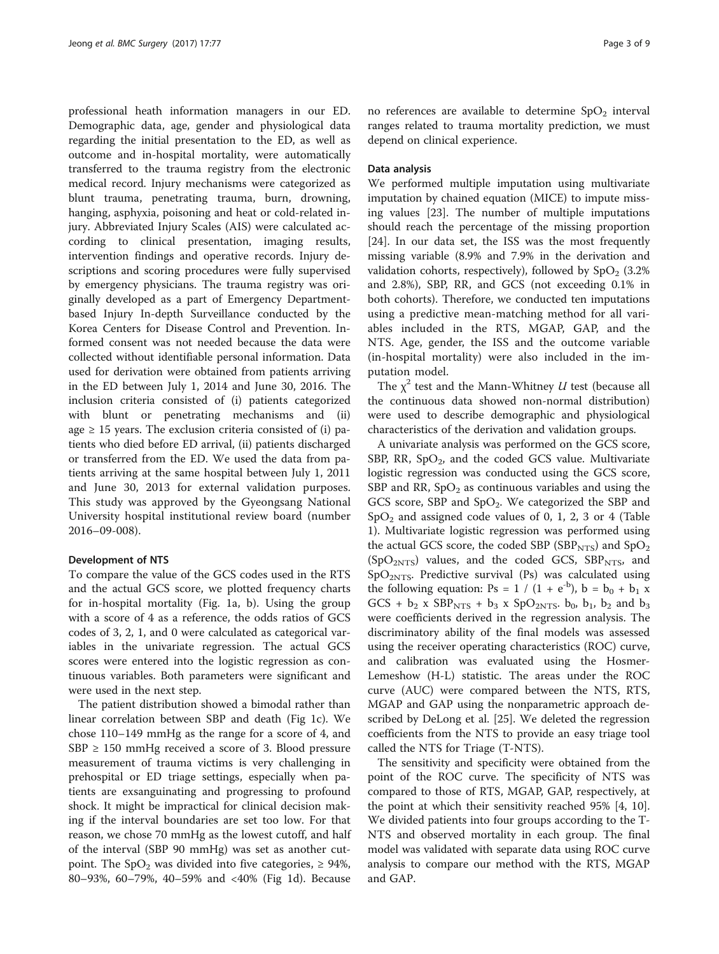professional heath information managers in our ED. Demographic data, age, gender and physiological data regarding the initial presentation to the ED, as well as outcome and in-hospital mortality, were automatically transferred to the trauma registry from the electronic medical record. Injury mechanisms were categorized as blunt trauma, penetrating trauma, burn, drowning, hanging, asphyxia, poisoning and heat or cold-related injury. Abbreviated Injury Scales (AIS) were calculated according to clinical presentation, imaging results, intervention findings and operative records. Injury descriptions and scoring procedures were fully supervised by emergency physicians. The trauma registry was originally developed as a part of Emergency Departmentbased Injury In-depth Surveillance conducted by the Korea Centers for Disease Control and Prevention. Informed consent was not needed because the data were collected without identifiable personal information. Data used for derivation were obtained from patients arriving in the ED between July 1, 2014 and June 30, 2016. The inclusion criteria consisted of (i) patients categorized with blunt or penetrating mechanisms and (ii) age  $\geq$  15 years. The exclusion criteria consisted of (i) patients who died before ED arrival, (ii) patients discharged or transferred from the ED. We used the data from patients arriving at the same hospital between July 1, 2011 and June 30, 2013 for external validation purposes. This study was approved by the Gyeongsang National University hospital institutional review board (number 2016–09-008).

#### Development of NTS

To compare the value of the GCS codes used in the RTS and the actual GCS score, we plotted frequency charts for in-hospital mortality (Fig. [1a, b](#page-3-0)). Using the group with a score of 4 as a reference, the odds ratios of GCS codes of 3, 2, 1, and 0 were calculated as categorical variables in the univariate regression. The actual GCS scores were entered into the logistic regression as continuous variables. Both parameters were significant and were used in the next step.

The patient distribution showed a bimodal rather than linear correlation between SBP and death (Fig [1c\)](#page-3-0). We chose 110–149 mmHg as the range for a score of 4, and  $SBP \geq 150$  mmHg received a score of 3. Blood pressure measurement of trauma victims is very challenging in prehospital or ED triage settings, especially when patients are exsanguinating and progressing to profound shock. It might be impractical for clinical decision making if the interval boundaries are set too low. For that reason, we chose 70 mmHg as the lowest cutoff, and half of the interval (SBP 90 mmHg) was set as another cutpoint. The SpO<sub>2</sub> was divided into five categories,  $\geq$  94%, 80–93%, 60–79%, 40–59% and <40% (Fig [1d](#page-3-0)). Because no references are available to determine  $SpO<sub>2</sub>$  interval ranges related to trauma mortality prediction, we must depend on clinical experience.

## Data analysis

We performed multiple imputation using multivariate imputation by chained equation (MICE) to impute missing values [[23\]](#page-8-0). The number of multiple imputations should reach the percentage of the missing proportion [[24\]](#page-8-0). In our data set, the ISS was the most frequently missing variable (8.9% and 7.9% in the derivation and validation cohorts, respectively), followed by  $SpO<sub>2</sub>$  (3.2%) and 2.8%), SBP, RR, and GCS (not exceeding 0.1% in both cohorts). Therefore, we conducted ten imputations using a predictive mean-matching method for all variables included in the RTS, MGAP, GAP, and the NTS. Age, gender, the ISS and the outcome variable (in-hospital mortality) were also included in the imputation model.

The  $\chi^2$  test and the Mann-Whitney  $U$  test (because all the continuous data showed non-normal distribution) were used to describe demographic and physiological characteristics of the derivation and validation groups.

A univariate analysis was performed on the GCS score, SBP, RR,  $SpO<sub>2</sub>$ , and the coded GCS value. Multivariate logistic regression was conducted using the GCS score, SBP and RR,  $SpO<sub>2</sub>$  as continuous variables and using the GCS score, SBP and  $SpO<sub>2</sub>$ . We categorized the SBP and  $SpO<sub>2</sub>$  and assigned code values of 0, 1, 2, 3 or 4 (Table [1\)](#page-1-0). Multivariate logistic regression was performed using the actual GCS score, the coded SBP (SBP $_{\text{NTS}}$ ) and SpO<sub>2</sub>  $(SpO<sub>2NTS</sub>)$  values, and the coded GCS, SBP<sub>NTS</sub>, and  $SpO<sub>2NTS</sub>$ . Predictive survival (Ps) was calculated using the following equation: Ps = 1 / (1 + e<sup>-b</sup>), b =  $b_0 + b_1 x$  $GCS + b_2$  x  $SBP<sub>NTS</sub> + b_3$  x  $SpO<sub>2NTS</sub>$ .  $b_0$ ,  $b_1$ ,  $b_2$  and  $b_3$ were coefficients derived in the regression analysis. The discriminatory ability of the final models was assessed using the receiver operating characteristics (ROC) curve, and calibration was evaluated using the Hosmer-Lemeshow (H-L) statistic. The areas under the ROC curve (AUC) were compared between the NTS, RTS, MGAP and GAP using the nonparametric approach described by DeLong et al. [\[25\]](#page-8-0). We deleted the regression coefficients from the NTS to provide an easy triage tool called the NTS for Triage (T-NTS).

The sensitivity and specificity were obtained from the point of the ROC curve. The specificity of NTS was compared to those of RTS, MGAP, GAP, respectively, at the point at which their sensitivity reached 95% [[4](#page-7-0), [10](#page-7-0)]. We divided patients into four groups according to the T-NTS and observed mortality in each group. The final model was validated with separate data using ROC curve analysis to compare our method with the RTS, MGAP and GAP.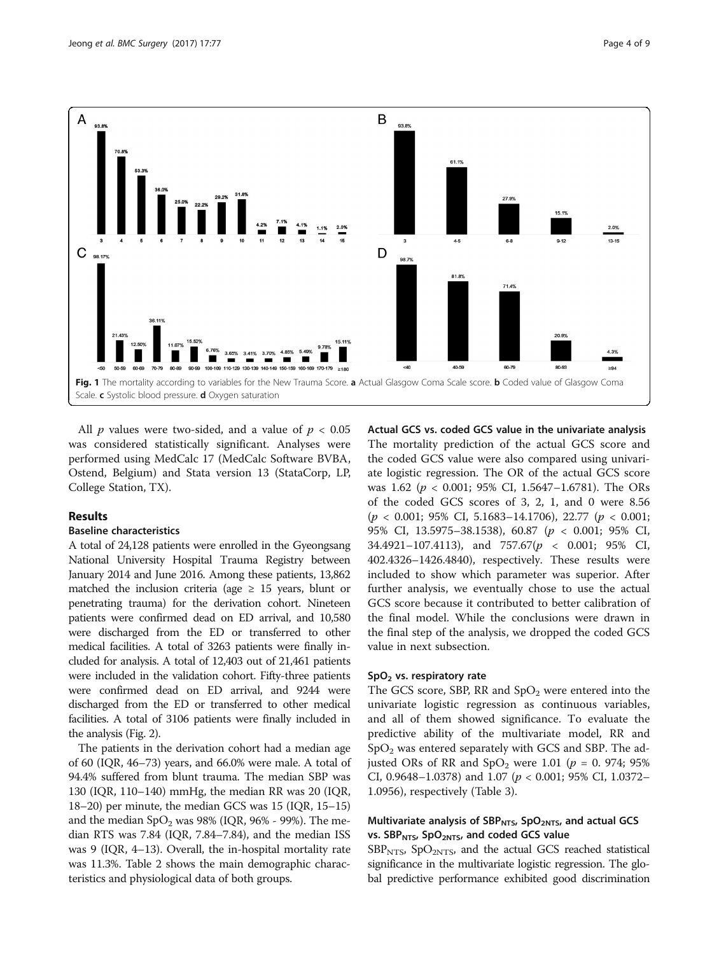<span id="page-3-0"></span>

All p values were two-sided, and a value of  $p < 0.05$ was considered statistically significant. Analyses were performed using MedCalc 17 (MedCalc Software BVBA, Ostend, Belgium) and Stata version 13 (StataCorp, LP, College Station, TX).

## Results

#### Baseline characteristics

A total of 24,128 patients were enrolled in the Gyeongsang National University Hospital Trauma Registry between January 2014 and June 2016. Among these patients, 13,862 matched the inclusion criteria (age  $\geq$  15 years, blunt or penetrating trauma) for the derivation cohort. Nineteen patients were confirmed dead on ED arrival, and 10,580 were discharged from the ED or transferred to other medical facilities. A total of 3263 patients were finally included for analysis. A total of 12,403 out of 21,461 patients were included in the validation cohort. Fifty-three patients were confirmed dead on ED arrival, and 9244 were discharged from the ED or transferred to other medical facilities. A total of 3106 patients were finally included in the analysis (Fig. [2](#page-4-0)).

The patients in the derivation cohort had a median age of 60 (IQR, 46–73) years, and 66.0% were male. A total of 94.4% suffered from blunt trauma. The median SBP was 130 (IQR, 110–140) mmHg, the median RR was 20 (IQR, 18–20) per minute, the median GCS was 15 (IQR, 15–15) and the median  $SpO<sub>2</sub>$  was 98% (IQR, 96% - 99%). The median RTS was 7.84 (IQR, 7.84–7.84), and the median ISS was 9 (IQR, 4–13). Overall, the in-hospital mortality rate was 11.3%. Table [2](#page-4-0) shows the main demographic characteristics and physiological data of both groups.

Actual GCS vs. coded GCS value in the univariate analysis The mortality prediction of the actual GCS score and the coded GCS value were also compared using univariate logistic regression. The OR of the actual GCS score was 1.62 (p < 0.001; 95% CI, 1.5647–1.6781). The ORs of the coded GCS scores of 3, 2, 1, and 0 were 8.56  $(p < 0.001; 95\% \text{ CI}, 5.1683-14.1706), 22.77 (p < 0.001;$ 95% CI, 13.5975–38.1538), 60.87 (p < 0.001; 95% CI, 34.4921-107.4113), and  $757.67(p < 0.001; 95\% \text{ CI},$ 402.4326–1426.4840), respectively. These results were included to show which parameter was superior. After further analysis, we eventually chose to use the actual GCS score because it contributed to better calibration of the final model. While the conclusions were drawn in the final step of the analysis, we dropped the coded GCS value in next subsection.

#### $SpO<sub>2</sub>$  vs. respiratory rate

The GCS score, SBP, RR and  $SpO<sub>2</sub>$  were entered into the univariate logistic regression as continuous variables, and all of them showed significance. To evaluate the predictive ability of the multivariate model, RR and  $SpO<sub>2</sub>$  was entered separately with GCS and SBP. The adjusted ORs of RR and  $SpO<sub>2</sub>$  were 1.01 ( $p = 0.974$ ; 95%) CI, 0.9648–1.0378) and 1.07 ( $p < 0.001$ ; 95% CI, 1.0372– 1.0956), respectively (Table [3](#page-5-0)).

## Multivariate analysis of  $SBP<sub>NTS</sub>$ , SpO<sub>2NTS</sub>, and actual GCS vs. SBP $_{NTS}$ , SpO $_{2NTS}$ , and coded GCS value

 $SBP<sub>NTS</sub>$ ,  $SpO<sub>2NTS</sub>$ , and the actual GCS reached statistical significance in the multivariate logistic regression. The global predictive performance exhibited good discrimination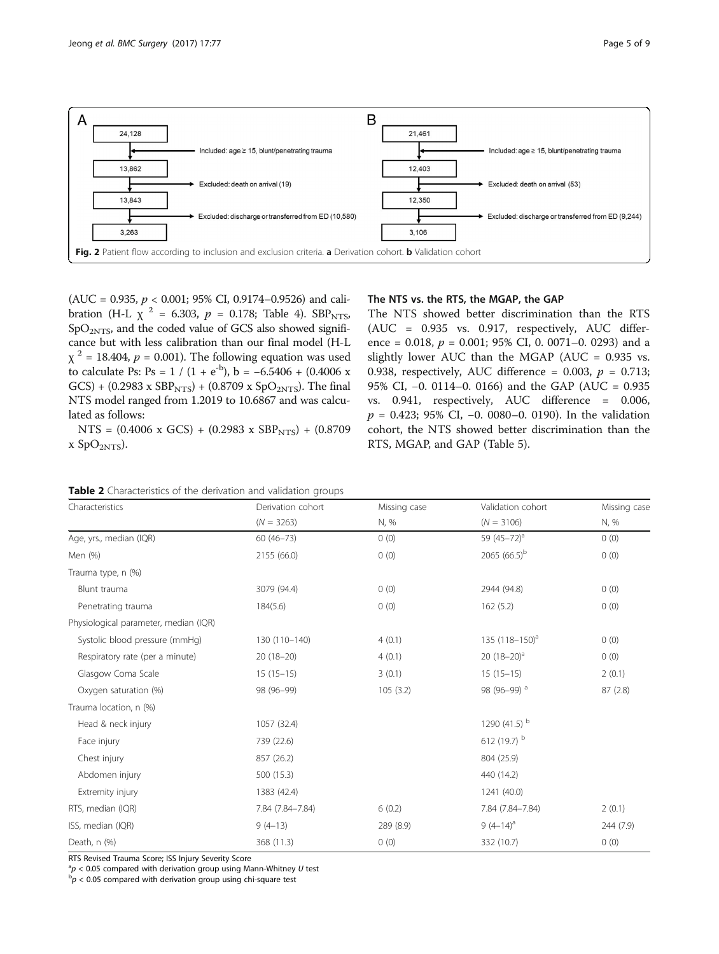<span id="page-4-0"></span>

(AUC = 0.935,  $p < 0.001$ ; 95% CI, 0.9174–0.9526) and calibration (H-L  $\chi^2$  = 6.303,  $p = 0.178$ ; Table [4\)](#page-5-0). SBP<sub>NTS</sub>, SpO<sub>2NTS</sub>, and the coded value of GCS also showed significance but with less calibration than our final model (H-L  $\chi^2$  = 18.404,  $p$  = 0.001). The following equation was used to calculate Ps: Ps = 1 / (1 + e<sup>-b</sup>), b =  $-6.5406 + (0.4006 \text{ x})$  $GCS$ ) + (0.2983 x  $SBP<sub>NTS</sub>$ ) + (0.8709 x  $SpO<sub>2NTS</sub>$ ). The final NTS model ranged from 1.2019 to 10.6867 and was calculated as follows:

 $NTS = (0.4006 \times GCS) + (0.2983 \times SBP<sub>NTS</sub>) + (0.8709$  $x SpO<sub>2NTS</sub>$ ).

## The NTS vs. the RTS, the MGAP, the GAP

The NTS showed better discrimination than the RTS (AUC = 0.935 vs. 0.917, respectively, AUC difference = 0.018,  $p = 0.001$ ; 95% CI, 0. 0071–0. 0293) and a slightly lower AUC than the MGAP (AUC = 0.935 vs. 0.938, respectively, AUC difference = 0.003,  $p = 0.713$ ; 95% CI, −0. 0114–0. 0166) and the GAP (AUC = 0.935 vs. 0.941, respectively, AUC difference = 0.006, p = 0.423; 95% CI, −0. 0080–0. 0190). In the validation cohort, the NTS showed better discrimination than the RTS, MGAP, and GAP (Table [5\)](#page-6-0).

| Table 2 Characteristics of the derivation and validation groups |  |  |
|-----------------------------------------------------------------|--|--|
|-----------------------------------------------------------------|--|--|

| Characteristics                       | Derivation cohort | Missing case | Validation cohort       | Missing case |
|---------------------------------------|-------------------|--------------|-------------------------|--------------|
|                                       | $(N = 3263)$      | N, %         | $(N = 3106)$            | N, %         |
| Age, yrs., median (IQR)               | $60(46 - 73)$     | 0(0)         | 59 $(45-72)^a$          | 0(0)         |
| Men (%)                               | 2155 (66.0)       | 0(0)         | 2065 $(66.5)^{b}$       | 0(0)         |
| Trauma type, n (%)                    |                   |              |                         |              |
| Blunt trauma                          | 3079 (94.4)       | 0(0)         | 2944 (94.8)             | 0(0)         |
| Penetrating trauma                    | 184(5.6)          | 0(0)         | 162(5.2)                | 0(0)         |
| Physiological parameter, median (IQR) |                   |              |                         |              |
| Systolic blood pressure (mmHg)        | 130 (110-140)     | 4(0.1)       | 135 $(118 - 150)^a$     | 0(0)         |
| Respiratory rate (per a minute)       | $20(18-20)$       | 4(0.1)       | 20 $(18-20)^a$          | 0(0)         |
| Glasgow Coma Scale                    | $15(15-15)$       | 3(0.1)       | $15(15-15)$             | 2(0.1)       |
| Oxygen saturation (%)                 | 98 (96-99)        | 105(3.2)     | 98 (96-99) <sup>a</sup> | 87(2.8)      |
| Trauma location, n (%)                |                   |              |                         |              |
| Head & neck injury                    | 1057 (32.4)       |              | 1290 (41.5) b           |              |
| Face injury                           | 739 (22.6)        |              | 612 (19.7) b            |              |
| Chest injury                          | 857 (26.2)        |              | 804 (25.9)              |              |
| Abdomen injury                        | 500 (15.3)        |              | 440 (14.2)              |              |
| Extremity injury                      | 1383 (42.4)       |              | 1241 (40.0)             |              |
| RTS, median (IQR)                     | 7.84 (7.84-7.84)  | 6(0.2)       | 7.84 (7.84-7.84)        | 2(0.1)       |
| ISS, median (IQR)                     | $9(4-13)$         | 289 (8.9)    | $9(4-14)^a$             | 244 (7.9)    |
| Death, n (%)                          | 368 (11.3)        | 0(0)         | 332 (10.7)              | 0(0)         |

RTS Revised Trauma Score; ISS Injury Severity Score

 $a^2p < 0.05$  compared with derivation group using Mann-Whitney U test<br> $b^2p < 0.05$  compared with derivation group using chi-square test

 $p \leq 0.05$  compared with derivation group using chi-square test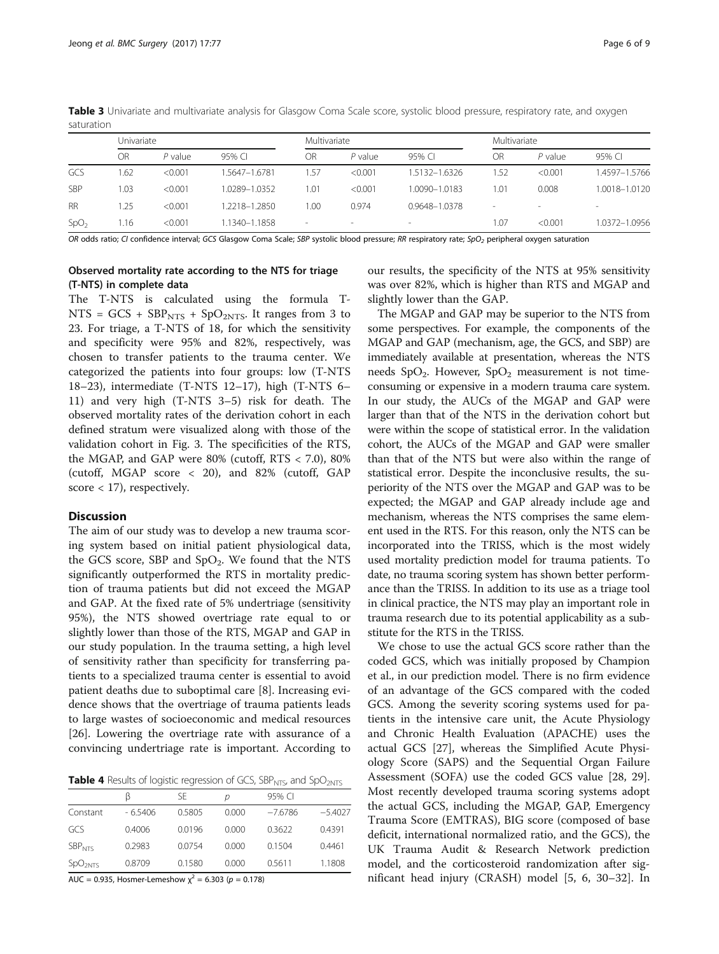|                  | Univariate |           |               |        | Multivariate             |                          |      | Multivariate |               |  |
|------------------|------------|-----------|---------------|--------|--------------------------|--------------------------|------|--------------|---------------|--|
|                  | <b>OR</b>  | $P$ value | 95% CI        | ΟR     | $P$ value                | 95% CI                   | OR   | $P$ value    | 95% CI        |  |
| GCS              | .62        | < 0.001   | 1.5647–1.6781 | 1.57   | < 0.001                  | 1.5132-1.6326            | 1.52 | < 0.001      | 1.4597-1.5766 |  |
| <b>SBP</b>       | 1.03       | < 0.001   | 1.0289-1.0352 | 1.01   | < 0.001                  | 1.0090-1.0183            | 1.01 | 0.008        | 1.0018-1.0120 |  |
| <b>RR</b>        | 1.25       | < 0.001   | 1.2218-1.2850 | 1.00   | 0.974                    | 0.9648-1.0378            |      | $\sim$       | -             |  |
| SpO <sub>2</sub> | 1.16       | < 0.001   | 1.1340-1.1858 | $\sim$ | $\overline{\phantom{a}}$ | $\overline{\phantom{a}}$ | 1.07 | < 0.001      | 1.0372-1.0956 |  |

<span id="page-5-0"></span>Table 3 Univariate and multivariate analysis for Glasgow Coma Scale score, systolic blood pressure, respiratory rate, and oxygen saturation

OR odds ratio; CI confidence interval; GCS Glasgow Coma Scale; SBP systolic blood pressure; RR respiratory rate; SpO<sub>2</sub> peripheral oxygen saturation

## Observed mortality rate according to the NTS for triage (T-NTS) in complete data

The T-NTS is calculated using the formula T-NTS =  $GCS + SBP<sub>NTS</sub> + SpO<sub>2NTS</sub>$ . It ranges from 3 to 23. For triage, a T-NTS of 18, for which the sensitivity and specificity were 95% and 82%, respectively, was chosen to transfer patients to the trauma center. We categorized the patients into four groups: low (T-NTS 18–23), intermediate (T-NTS 12–17), high (T-NTS 6– 11) and very high (T-NTS 3–5) risk for death. The observed mortality rates of the derivation cohort in each defined stratum were visualized along with those of the validation cohort in Fig. [3.](#page-6-0) The specificities of the RTS, the MGAP, and GAP were  $80\%$  (cutoff, RTS  $<$  7.0),  $80\%$ (cutoff, MGAP score < 20), and 82% (cutoff, GAP score  $<$  17), respectively.

## Discussion

The aim of our study was to develop a new trauma scoring system based on initial patient physiological data, the GCS score, SBP and  $SpO<sub>2</sub>$ . We found that the NTS significantly outperformed the RTS in mortality prediction of trauma patients but did not exceed the MGAP and GAP. At the fixed rate of 5% undertriage (sensitivity 95%), the NTS showed overtriage rate equal to or slightly lower than those of the RTS, MGAP and GAP in our study population. In the trauma setting, a high level of sensitivity rather than specificity for transferring patients to a specialized trauma center is essential to avoid patient deaths due to suboptimal care [\[8](#page-7-0)]. Increasing evidence shows that the overtriage of trauma patients leads to large wastes of socioeconomic and medical resources [[26\]](#page-8-0). Lowering the overtriage rate with assurance of a convincing undertriage rate is important. According to

**Table 4** Results of logistic regression of GCS, SBP $_{NTS}$ , and SpO $_{2NTS}$ 

|                          | 13       | SE     | n     | 95% CI    |           |
|--------------------------|----------|--------|-------|-----------|-----------|
| Constant                 | - 6.5406 | 0.5805 | 0.000 | $-7.6786$ | $-5.4027$ |
| GCS                      | 0.4006   | 0.0196 | 0.000 | 0.3622    | 0.4391    |
| <b>SBP<sub>NTS</sub></b> | 0.2983   | 0.0754 | 0.000 | 0.1504    | 0.4461    |
| SpO <sub>2NTS</sub>      | 0.8709   | 0.1580 | 0.000 | 0.5611    | 1.1808    |

AUC = 0.935, Hosmer-Lemeshow  $\chi^2$  = 6.303 (p = 0.178)

our results, the specificity of the NTS at 95% sensitivity was over 82%, which is higher than RTS and MGAP and slightly lower than the GAP.

The MGAP and GAP may be superior to the NTS from some perspectives. For example, the components of the MGAP and GAP (mechanism, age, the GCS, and SBP) are immediately available at presentation, whereas the NTS needs  $SpO<sub>2</sub>$ . However,  $SpO<sub>2</sub>$  measurement is not timeconsuming or expensive in a modern trauma care system. In our study, the AUCs of the MGAP and GAP were larger than that of the NTS in the derivation cohort but were within the scope of statistical error. In the validation cohort, the AUCs of the MGAP and GAP were smaller than that of the NTS but were also within the range of statistical error. Despite the inconclusive results, the superiority of the NTS over the MGAP and GAP was to be expected; the MGAP and GAP already include age and mechanism, whereas the NTS comprises the same element used in the RTS. For this reason, only the NTS can be incorporated into the TRISS, which is the most widely used mortality prediction model for trauma patients. To date, no trauma scoring system has shown better performance than the TRISS. In addition to its use as a triage tool in clinical practice, the NTS may play an important role in trauma research due to its potential applicability as a substitute for the RTS in the TRISS.

We chose to use the actual GCS score rather than the coded GCS, which was initially proposed by Champion et al., in our prediction model. There is no firm evidence of an advantage of the GCS compared with the coded GCS. Among the severity scoring systems used for patients in the intensive care unit, the Acute Physiology and Chronic Health Evaluation (APACHE) uses the actual GCS [[27](#page-8-0)], whereas the Simplified Acute Physiology Score (SAPS) and the Sequential Organ Failure Assessment (SOFA) use the coded GCS value [\[28](#page-8-0), [29](#page-8-0)]. Most recently developed trauma scoring systems adopt the actual GCS, including the MGAP, GAP, Emergency Trauma Score (EMTRAS), BIG score (composed of base deficit, international normalized ratio, and the GCS), the UK Trauma Audit & Research Network prediction model, and the corticosteroid randomization after significant head injury (CRASH) model [\[5](#page-7-0), [6](#page-7-0), [30](#page-8-0)–[32\]](#page-8-0). In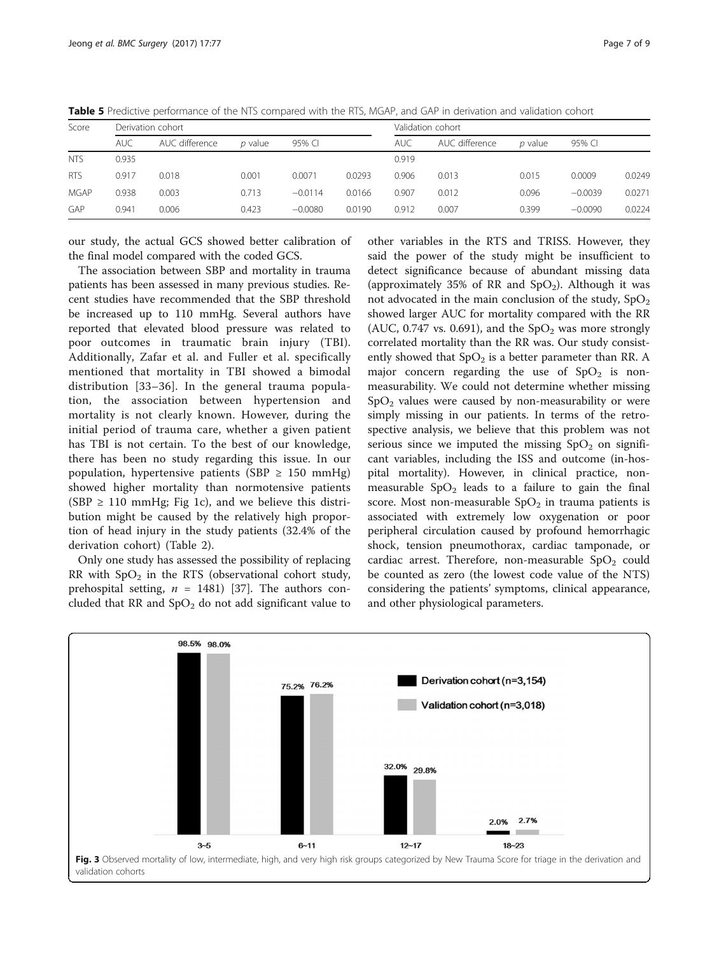| Score       | Derivation cohort |                |         |           |        | Validation cohort |                |                |           |        |
|-------------|-------------------|----------------|---------|-----------|--------|-------------------|----------------|----------------|-----------|--------|
|             | <b>AUC</b>        | AUC difference | p value | 95% CI    |        | <b>AUC</b>        | AUC difference | <i>p</i> value | 95% CI    |        |
| <b>NTS</b>  | 0.935             |                |         |           |        | 0.919             |                |                |           |        |
| <b>RTS</b>  | 0.917             | 0.018          | 0.001   | 0.0071    | 0.0293 | 0.906             | 0.013          | 0.015          | 0.0009    | 0.0249 |
| <b>MGAP</b> | 0.938             | 0.003          | 0.713   | $-0.0114$ | 0.0166 | 0.907             | 0.012          | 0.096          | $-0.0039$ | 0.0271 |
| GAP         | 0.941             | 0.006          | 0.423   | $-0.0080$ | 0.0190 | 0.912             | 0.007          | 0.399          | $-0.0090$ | 0.0224 |

<span id="page-6-0"></span>Table 5 Predictive performance of the NTS compared with the RTS, MGAP, and GAP in derivation and validation cohort

our study, the actual GCS showed better calibration of the final model compared with the coded GCS.

The association between SBP and mortality in trauma patients has been assessed in many previous studies. Recent studies have recommended that the SBP threshold be increased up to 110 mmHg. Several authors have reported that elevated blood pressure was related to poor outcomes in traumatic brain injury (TBI). Additionally, Zafar et al. and Fuller et al. specifically mentioned that mortality in TBI showed a bimodal distribution [\[33](#page-8-0)–[36\]](#page-8-0). In the general trauma population, the association between hypertension and mortality is not clearly known. However, during the initial period of trauma care, whether a given patient has TBI is not certain. To the best of our knowledge, there has been no study regarding this issue. In our population, hypertensive patients (SBP  $\geq$  150 mmHg) showed higher mortality than normotensive patients  $(SBP \geq 110 \text{ mmHg};$  Fig [1c\)](#page-3-0), and we believe this distribution might be caused by the relatively high proportion of head injury in the study patients (32.4% of the derivation cohort) (Table [2\)](#page-4-0).

Only one study has assessed the possibility of replacing RR with  $SpO<sub>2</sub>$  in the RTS (observational cohort study, prehospital setting,  $n = 1481$  [\[37](#page-8-0)]. The authors concluded that RR and  $SpO<sub>2</sub>$  do not add significant value to

other variables in the RTS and TRISS. However, they said the power of the study might be insufficient to detect significance because of abundant missing data (approximately 35% of RR and  $SpO<sub>2</sub>$ ). Although it was not advocated in the main conclusion of the study,  $SpO<sub>2</sub>$ showed larger AUC for mortality compared with the RR (AUC, 0.747 vs. 0.691), and the  $SpO<sub>2</sub>$  was more strongly correlated mortality than the RR was. Our study consistently showed that  $SpO<sub>2</sub>$  is a better parameter than RR. A major concern regarding the use of  $SpO<sub>2</sub>$  is nonmeasurability. We could not determine whether missing  $SpO<sub>2</sub>$  values were caused by non-measurability or were simply missing in our patients. In terms of the retrospective analysis, we believe that this problem was not serious since we imputed the missing  $SpO<sub>2</sub>$  on significant variables, including the ISS and outcome (in-hospital mortality). However, in clinical practice, nonmeasurable  $SpO<sub>2</sub>$  leads to a failure to gain the final score. Most non-measurable  $SpO<sub>2</sub>$  in trauma patients is associated with extremely low oxygenation or poor peripheral circulation caused by profound hemorrhagic shock, tension pneumothorax, cardiac tamponade, or cardiac arrest. Therefore, non-measurable  $SpO<sub>2</sub>$  could be counted as zero (the lowest code value of the NTS) considering the patients' symptoms, clinical appearance, and other physiological parameters.

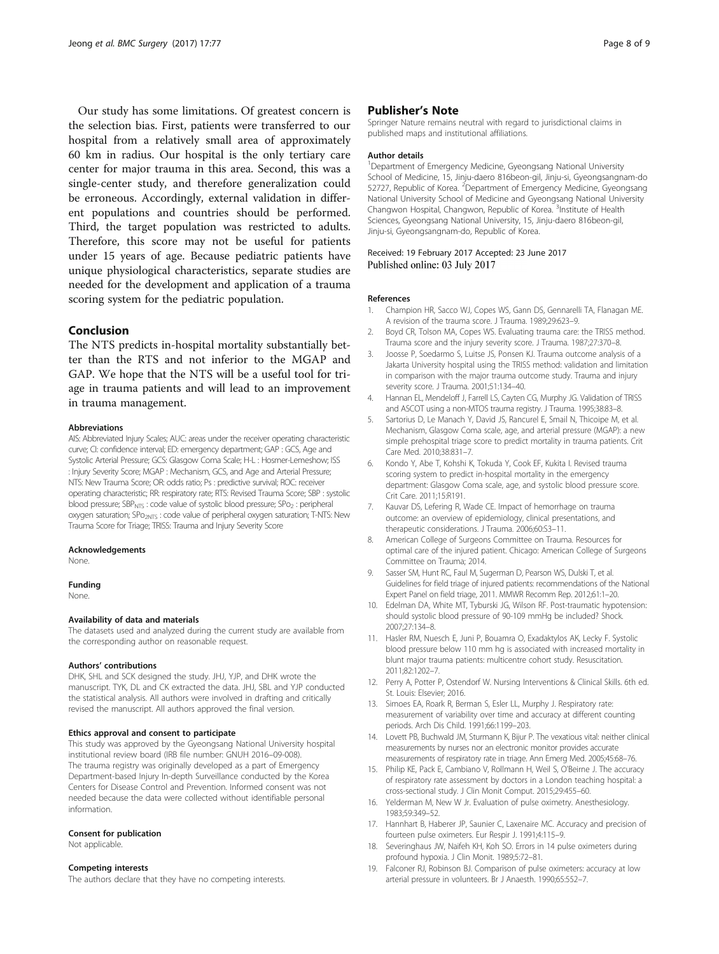<span id="page-7-0"></span>Our study has some limitations. Of greatest concern is the selection bias. First, patients were transferred to our hospital from a relatively small area of approximately 60 km in radius. Our hospital is the only tertiary care center for major trauma in this area. Second, this was a single-center study, and therefore generalization could be erroneous. Accordingly, external validation in different populations and countries should be performed. Third, the target population was restricted to adults. Therefore, this score may not be useful for patients under 15 years of age. Because pediatric patients have unique physiological characteristics, separate studies are needed for the development and application of a trauma scoring system for the pediatric population.

#### Conclusion

The NTS predicts in-hospital mortality substantially better than the RTS and not inferior to the MGAP and GAP. We hope that the NTS will be a useful tool for triage in trauma patients and will lead to an improvement in trauma management.

#### Abbreviations

AIS: Abbreviated Injury Scales; AUC: areas under the receiver operating characteristic curve; CI: confidence interval; ED: emergency department; GAP : GCS, Age and Systolic Arterial Pressure; GCS: Glasgow Coma Scale; H-L : Hosmer-Lemeshow; ISS : Injury Severity Score; MGAP : Mechanism, GCS, and Age and Arterial Pressure; NTS: New Trauma Score; OR: odds ratio; Ps : predictive survival; ROC: receiver operating characteristic; RR: respiratory rate; RTS: Revised Trauma Score; SBP : systolic blood pressure; SBP<sub>NTS</sub> : code value of systolic blood pressure; SPo<sub>2</sub> : peripheral oxygen saturation; SPo<sub>2NTS</sub>: code value of peripheral oxygen saturation; T-NTS: New Trauma Score for Triage; TRISS: Trauma and Injury Severity Score

#### Acknowledgements

None.

#### Funding

None.

#### Availability of data and materials

The datasets used and analyzed during the current study are available from the corresponding author on reasonable request.

#### Authors' contributions

DHK, SHL and SCK designed the study. JHJ, YJP, and DHK wrote the manuscript. TYK, DL and CK extracted the data. JHJ, SBL and YJP conducted the statistical analysis. All authors were involved in drafting and critically revised the manuscript. All authors approved the final version.

#### Ethics approval and consent to participate

This study was approved by the Gyeongsang National University hospital institutional review board (IRB file number: GNUH 2016–09-008). The trauma registry was originally developed as a part of Emergency Department-based Injury In-depth Surveillance conducted by the Korea Centers for Disease Control and Prevention. Informed consent was not needed because the data were collected without identifiable personal information.

#### Consent for publication

Not applicable.

## Competing interests

The authors declare that they have no competing interests.

#### Publisher's Note

Springer Nature remains neutral with regard to jurisdictional claims in published maps and institutional affiliations.

#### Author details

<sup>1</sup>Department of Emergency Medicine, Gyeongsang National University School of Medicine, 15, Jinju-daero 816beon-gil, Jinju-si, Gyeongsangnam-do 52727, Republic of Korea. <sup>2</sup>Department of Emergency Medicine, Gyeongsang National University School of Medicine and Gyeongsang National University Changwon Hospital, Changwon, Republic of Korea. <sup>3</sup>Institute of Health Sciences, Gyeongsang National University, 15, Jinju-daero 816beon-gil, Jinju-si, Gyeongsangnam-do, Republic of Korea.

#### Received: 19 February 2017 Accepted: 23 June 2017 Published online: 03 July 2017

#### References

- 1. Champion HR, Sacco WJ, Copes WS, Gann DS, Gennarelli TA, Flanagan ME. A revision of the trauma score. J Trauma. 1989;29:623–9.
- 2. Boyd CR, Tolson MA, Copes WS. Evaluating trauma care: the TRISS method. Trauma score and the injury severity score. J Trauma. 1987;27:370–8.
- 3. Joosse P, Soedarmo S, Luitse JS, Ponsen KJ. Trauma outcome analysis of a Jakarta University hospital using the TRISS method: validation and limitation in comparison with the major trauma outcome study. Trauma and injury severity score. J Trauma. 2001;51:134–40.
- 4. Hannan EL, Mendeloff J, Farrell LS, Cayten CG, Murphy JG. Validation of TRISS and ASCOT using a non-MTOS trauma registry. J Trauma. 1995;38:83–8.
- 5. Sartorius D, Le Manach Y, David JS, Rancurel E, Smail N, Thicoipe M, et al. Mechanism, Glasgow Coma scale, age, and arterial pressure (MGAP): a new simple prehospital triage score to predict mortality in trauma patients. Crit Care Med. 2010;38:831–7.
- 6. Kondo Y, Abe T, Kohshi K, Tokuda Y, Cook EF, Kukita I. Revised trauma scoring system to predict in-hospital mortality in the emergency department: Glasgow Coma scale, age, and systolic blood pressure score. Crit Care. 2011;15:R191.
- 7. Kauvar DS, Lefering R, Wade CE. Impact of hemorrhage on trauma outcome: an overview of epidemiology, clinical presentations, and therapeutic considerations. J Trauma. 2006;60:S3–11.
- 8. American College of Surgeons Committee on Trauma. Resources for optimal care of the injured patient. Chicago: American College of Surgeons Committee on Trauma; 2014.
- 9. Sasser SM, Hunt RC, Faul M, Sugerman D, Pearson WS, Dulski T, et al. Guidelines for field triage of injured patients: recommendations of the National Expert Panel on field triage, 2011. MMWR Recomm Rep. 2012;61:1–20.
- 10. Edelman DA, White MT, Tyburski JG, Wilson RF. Post-traumatic hypotension: should systolic blood pressure of 90-109 mmHg be included? Shock. 2007;27:134–8.
- 11. Hasler RM, Nuesch E, Juni P, Bouamra O, Exadaktylos AK, Lecky F. Systolic blood pressure below 110 mm hg is associated with increased mortality in blunt major trauma patients: multicentre cohort study. Resuscitation. 2011;82:1202–7.
- 12. Perry A, Potter P, Ostendorf W. Nursing Interventions & Clinical Skills. 6th ed. St. Louis: Elsevier; 2016.
- 13. Simoes EA, Roark R, Berman S, Esler LL, Murphy J. Respiratory rate: measurement of variability over time and accuracy at different counting periods. Arch Dis Child. 1991;66:1199–203.
- 14. Lovett PB, Buchwald JM, Sturmann K, Bijur P. The vexatious vital: neither clinical measurements by nurses nor an electronic monitor provides accurate measurements of respiratory rate in triage. Ann Emerg Med. 2005;45:68–76.
- 15. Philip KE, Pack E, Cambiano V, Rollmann H, Weil S, O'Beirne J. The accuracy of respiratory rate assessment by doctors in a London teaching hospital: a cross-sectional study. J Clin Monit Comput. 2015;29:455–60.
- 16. Yelderman M, New W Jr. Evaluation of pulse oximetry. Anesthesiology. 1983;59:349–52.
- 17. Hannhart B, Haberer JP, Saunier C, Laxenaire MC. Accuracy and precision of fourteen pulse oximeters. Eur Respir J. 1991;4:115–9.
- 18. Severinghaus JW, Naifeh KH, Koh SO. Errors in 14 pulse oximeters during profound hypoxia. J Clin Monit. 1989;5:72–81.
- 19. Falconer RJ, Robinson BJ. Comparison of pulse oximeters: accuracy at low arterial pressure in volunteers. Br J Anaesth. 1990;65:552–7.